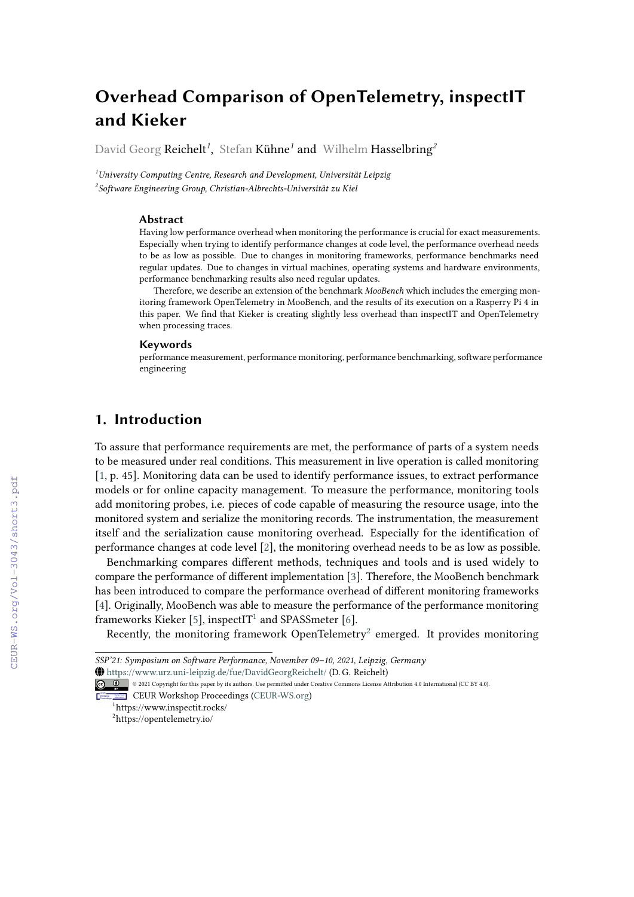# **Overhead Comparison of OpenTelemetry, inspectIT and Kieker**

David Georg Reichelt*<sup>1</sup>* , Stefan Kühne*<sup>1</sup>* and Wilhelm Hasselbring*<sup>2</sup>*

*<sup>1</sup>University Computing Centre, Research and Development, Universität Leipzig 2 Software Engineering Group, Christian-Albrechts-Universität zu Kiel*

#### **Abstract**

Having low performance overhead when monitoring the performance is crucial for exact measurements. Especially when trying to identify performance changes at code level, the performance overhead needs to be as low as possible. Due to changes in monitoring frameworks, performance benchmarks need regular updates. Due to changes in virtual machines, operating systems and hardware environments, performance benchmarking results also need regular updates.

Therefore, we describe an extension of the benchmark *MooBench* which includes the emerging monitoring framework OpenTelemetry in MooBench, and the results of its execution on a Rasperry Pi 4 in this paper. We find that Kieker is creating slightly less overhead than inspectIT and OpenTelemetry when processing traces.

#### **Keywords**

performance measurement, performance monitoring, performance benchmarking, software performance engineering

# **1. Introduction**

To assure that performance requirements are met, the performance of parts of a system needs to be measured under real conditions. This measurement in live operation is called monitoring [\[1,](#page--1-0) p. 45]. Monitoring data can be used to identify performance issues, to extract performance models or for online capacity management. To measure the performance, monitoring tools add monitoring probes, i.e. pieces of code capable of measuring the resource usage, into the monitored system and serialize the monitoring records. The instrumentation, the measurement itself and the serialization cause monitoring overhead. Especially for the identification of performance changes at code level [\[2\]](#page--1-1), the monitoring overhead needs to be as low as possible.

Benchmarking compares different methods, techniques and tools and is used widely to compare the performance of different implementation [\[3\]](#page--1-2). Therefore, the MooBench benchmark has been introduced to compare the performance overhead of different monitoring frameworks [\[4\]](#page--1-3). Originally, MooBench was able to measure the performance of the performance monitoring  $\overline{f}$  frameworks Kieker [\[5\]](#page--1-4), inspectIT<sup>[1](#page-0-0)</sup> and SPASSmeter [\[6\]](#page--1-5).

Recently, the monitoring framework OpenTelemetry<sup>[2](#page-0-1)</sup> emerged. It provides monitoring

{ <https://www.urz.uni-leipzig.de/fue/DavidGeorgReichelt/> (D. G. Reichelt)

CEUR Workshop [Proceedings](http://ceur-ws.org) [\(CEUR-WS.org\)](http://ceur-ws.org)

*SSP'21: Symposium on Software Performance, November 09–10, 2021, Leipzig, Germany*

<sup>©</sup> 2021 Copyright for this paper by its authors. Use permitted under Creative Commons License Attribution 4.0 International (CC BY 4.0).

<span id="page-0-0"></span><sup>1</sup> https://www.inspectit.rocks/

<span id="page-0-1"></span><sup>2</sup> https://opentelemetry.io/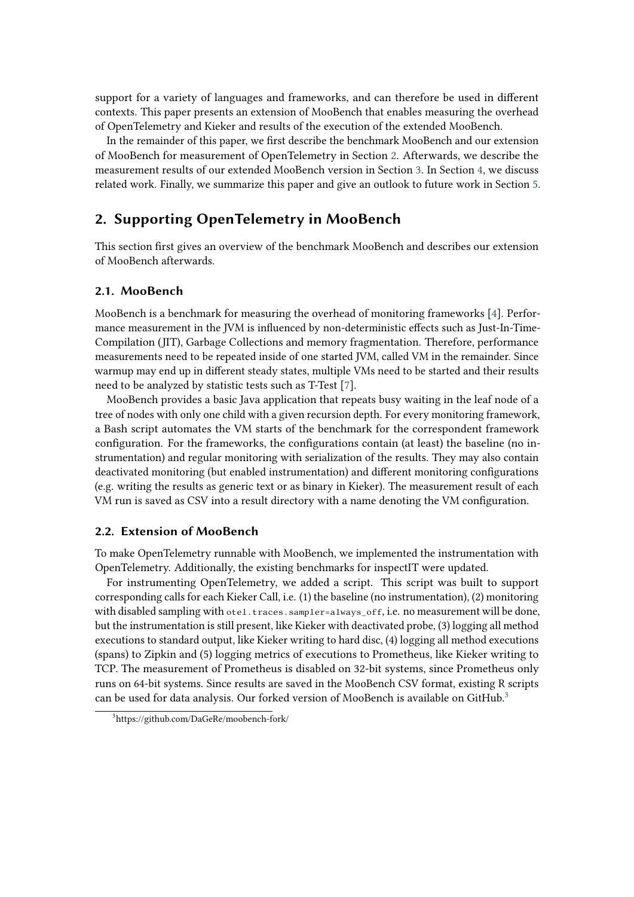support for a variety of languages and frameworks, and can therefore be used in different contexts. This paper presents an extension of MooBench that enables measuring the overhead of OpenTelemetry and Kieker and results of the execution of the extended MooBench.

In the remainder of this paper, we first describe the benchmark MooBench and our extension of MooBench for measurement of OpenTelemetry in Section [2.](#page-1-0) Afterwards, we describe the measurement results of our extended MooBench version in Section [3.](#page-2-0) In Section [4,](#page-3-0) we discuss related work. Finally, we summarize this paper and give an outlook to future work in Section [5.](#page-4-0)

# <span id="page-1-0"></span>**2. Supporting OpenTelemetry in MooBench**

This section first gives an overview of the benchmark MooBench and describes our extension of MooBench afterwards.

#### **2.1. MooBench**

MooBench is a benchmark for measuring the overhead of monitoring frameworks [\[4\]](#page-5-0). Performance measurement in the JVM is influenced by non-deterministic effects such as Just-In-Time-Compilation (JIT), Garbage Collections and memory fragmentation. Therefore, performance measurements need to be repeated inside of one started JVM, called VM in the remainder. Since warmup may end up in different steady states, multiple VMs need to be started and their results need to be analyzed by statistic tests such as T-Test [\[7\]](#page-5-1).

MooBench provides a basic Java application that repeats busy waiting in the leaf node of a tree of nodes with only one child with a given recursion depth. For every monitoring framework, a Bash script automates the VM starts of the benchmark for the correspondent framework configuration. For the frameworks, the configurations contain (at least) the baseline (no instrumentation) and regular monitoring with serialization of the results. They may also contain deactivated monitoring (but enabled instrumentation) and different monitoring configurations (e.g. writing the results as generic text or as binary in Kieker). The measurement result of each VM run is saved as CSV into a result directory with a name denoting the VM configuration.

#### **2.2. Extension of MooBench**

To make OpenTelemetry runnable with MooBench, we implemented the instrumentation with OpenTelemetry. Additionally, the existing benchmarks for inspectIT were updated.

For instrumenting OpenTelemetry, we added a script. This script was built to support corresponding calls for each Kieker Call, i.e. (1) the baseline (no instrumentation), (2) monitoring with disabled sampling with otel.traces.sampler=always\_off, i.e. no measurement will be done, but the instrumentation is still present, like Kieker with deactivated probe, (3) logging all method executions to standard output, like Kieker writing to hard disc, (4) logging all method executions (spans) to Zipkin and (5) logging metrics of executions to Prometheus, like Kieker writing to TCP. The measurement of Prometheus is disabled on 32-bit systems, since Prometheus only runs on 64-bit systems. Since results are saved in the MooBench CSV format, existing R scripts can be used for data analysis. Our forked version of MooBench is available on GitHub.<sup>[3](#page-1-1)</sup>

<span id="page-1-1"></span><sup>3</sup> https://github.com/DaGeRe/moobench-fork/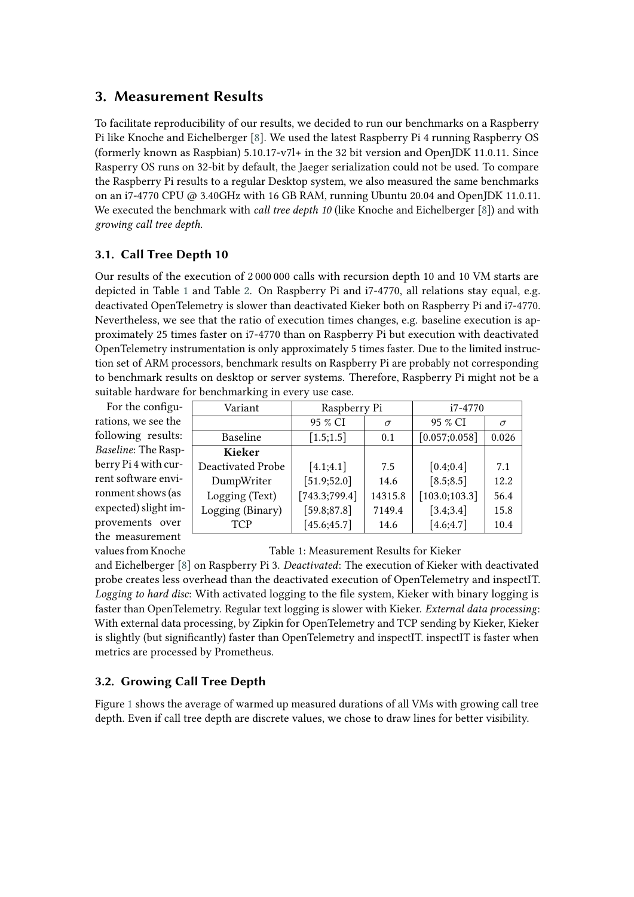# <span id="page-2-0"></span>**3. Measurement Results**

To facilitate reproducibility of our results, we decided to run our benchmarks on a Raspberry Pi like Knoche and Eichelberger [\[8\]](#page-5-2). We used the latest Raspberry Pi 4 running Raspberry OS (formerly known as Raspbian) 5.10.17-v7l+ in the 32 bit version and OpenJDK 11.0.11. Since Rasperry OS runs on 32-bit by default, the Jaeger serialization could not be used. To compare the Raspberry Pi results to a regular Desktop system, we also measured the same benchmarks on an i7-4770 CPU @ 3.40GHz with 16 GB RAM, running Ubuntu 20.04 and OpenJDK 11.0.11. We executed the benchmark with *call tree depth 10* (like Knoche and Eichelberger [\[8\]](#page-5-2)) and with *growing call tree depth*.

### **3.1. Call Tree Depth 10**

Our results of the execution of 2 000 000 calls with recursion depth 10 and 10 VM starts are depicted in Table [1](#page-2-1) and Table [2.](#page-3-1) On Raspberry Pi and i7-4770, all relations stay equal, e.g. deactivated OpenTelemetry is slower than deactivated Kieker both on Raspberry Pi and i7-4770. Nevertheless, we see that the ratio of execution times changes, e.g. baseline execution is approximately 25 times faster on i7-4770 than on Raspberry Pi but execution with deactivated OpenTelemetry instrumentation is only approximately 5 times faster. Due to the limited instruction set of ARM processors, benchmark results on Raspberry Pi are probably not corresponding to benchmark results on desktop or server systems. Therefore, Raspberry Pi might not be a suitable hardware for benchmarking in every use case.

For the configurations, we see the following results: *Baseline*: The Raspberry Pi 4 with current software environment shows (as expected) slight improvements over the measurement values from Knoche

| Variant           | Raspberry Pi  |          | i7-4770        |          |  |
|-------------------|---------------|----------|----------------|----------|--|
|                   | 95 % CI       | $\sigma$ | 95 % CI        | $\sigma$ |  |
| Baseline          | [1.5;1.5]     | 0.1      | [0.057; 0.058] | 0.026    |  |
| <b>Kieker</b>     |               |          |                |          |  |
| Deactivated Probe | [4.1;4.1]     | 7.5      | [0.4; 0.4]     | 7.1      |  |
| DumpWriter        | [51.9;52.0]   | 14.6     | [8.5; 8.5]     | 12.2     |  |
| Logging (Text)    | [743.3;799.4] | 14315.8  | [103.0;103.3]  | 56.4     |  |
| Logging (Binary)  | [59.8; 87.8]  | 7149.4   | [3.4; 3.4]     | 15.8     |  |
| <b>TCP</b>        | [45.6; 45.7]  | 14.6     | [4.6; 4.7]     | 10.4     |  |

<span id="page-2-1"></span>Table 1: Measurement Results for Kieker

and Eichelberger [\[8\]](#page-5-2) on Raspberry Pi 3. *Deactivated*: The execution of Kieker with deactivated probe creates less overhead than the deactivated execution of OpenTelemetry and inspectIT. *Logging to hard disc*: With activated logging to the file system, Kieker with binary logging is faster than OpenTelemetry. Regular text logging is slower with Kieker. *External data processing*: With external data processing, by Zipkin for OpenTelemetry and TCP sending by Kieker, Kieker is slightly (but significantly) faster than OpenTelemetry and inspectIT. inspectIT is faster when metrics are processed by Prometheus.

### **3.2. Growing Call Tree Depth**

Figure [1](#page-3-2) shows the average of warmed up measured durations of all VMs with growing call tree depth. Even if call tree depth are discrete values, we chose to draw lines for better visibility.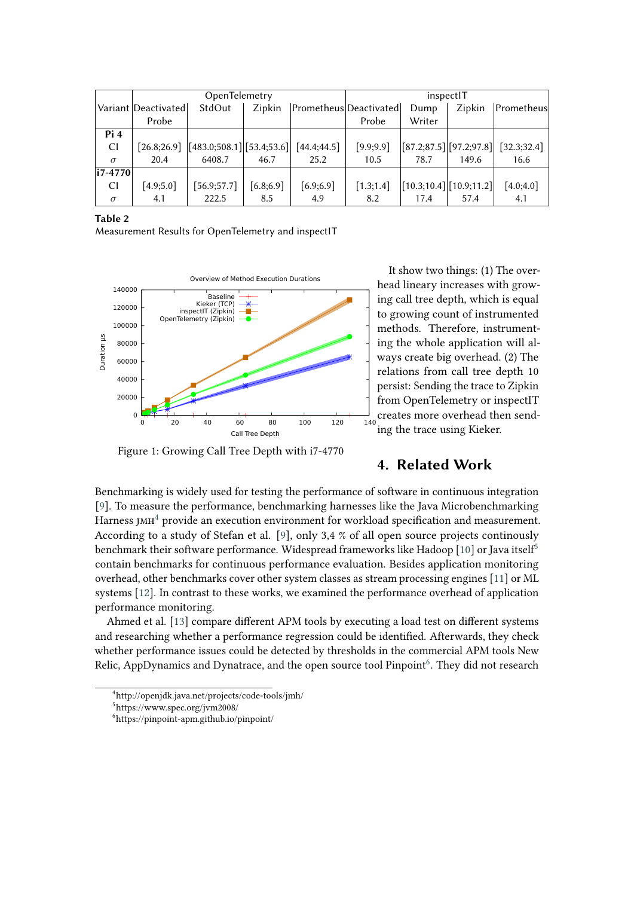|                | OpenTelemetry         |                                             |            |              | inspectIT              |        |                                                                      |              |
|----------------|-----------------------|---------------------------------------------|------------|--------------|------------------------|--------|----------------------------------------------------------------------|--------------|
|                | Variant   Deactivated | StdOut                                      | Zipkin     |              | Prometheus Deactivated | Dump   | Zipkin                                                               | Prometheus   |
|                | Probe                 |                                             |            |              | Probe                  | Writer |                                                                      |              |
| Pi4            |                       |                                             |            |              |                        |        |                                                                      |              |
| C <sub>l</sub> |                       | $[26.8;26.9]$ $ [483.0;508.1] [53.4;53.6] $ |            | [44.4; 44.5] | [9.9; 9.9]             |        | [87.2;87.5] [97.2;97.8]                                              | [32.3; 32.4] |
| $\sigma$       | 20.4                  | 6408.7                                      | 46.7       | 25.2         | 10.5                   | 78.7   | 149.6                                                                | 16.6         |
| $ i7-4770 $    |                       |                                             |            |              |                        |        |                                                                      |              |
| CI             | [4.9;5.0]             | [56.9;57.7]                                 | [6.8; 6.9] | [6.9; 6.9]   | [1.3;1.4]              |        | $\left  \left[ 10.3; 10.4 \right] \right  \left[ 10.9; 11.2 \right]$ | [4.0; 4.0]   |
| $\sigma$       | 4.1                   | 222.5                                       | 8.5        | 4.9          | 8.2                    | 17.4   | 57.4                                                                 | 4.1          |

#### **Table 2**

Measurement Results for OpenTelemetry and inspectIT



<span id="page-3-2"></span><span id="page-3-0"></span>Figure 1: Growing Call Tree Depth with i7-4770

<span id="page-3-1"></span>It show two things: (1) The overhead lineary increases with growing call tree depth, which is equal to growing count of instrumented methods. Therefore, instrumenting the whole application will always create big overhead. (2) The relations from call tree depth 10 persist: Sending the trace to Zipkin from OpenTelemetry or inspectIT creates more overhead then sending the trace using Kieker.

### **4. Related Work**

Benchmarking is widely used for testing the performance of software in continuous integration [\[9\]](#page-5-3). To measure the performance, benchmarking harnesses like the Java Microbenchmarking Harness  $\text{IMH}^4$  $\text{IMH}^4$  provide an execution environment for workload specification and measurement. According to a study of Stefan et al. [\[9\]](#page-5-3), only 3,4 % of all open source projects continously benchmark their software performance. Widespread frameworks like Hadoop [\[10\]](#page-5-4) or Java itself<sup>[5](#page-3-4)</sup> contain benchmarks for continuous performance evaluation. Besides application monitoring overhead, other benchmarks cover other system classes as stream processing engines [\[11\]](#page-5-5) or ML systems [\[12\]](#page-5-6). In contrast to these works, we examined the performance overhead of application performance monitoring.

Ahmed et al. [\[13\]](#page-5-7) compare different APM tools by executing a load test on different systems and researching whether a performance regression could be identified. Afterwards, they check whether performance issues could be detected by thresholds in the commercial APM tools New Relic. AppDynamics and Dynatrace, and the open source tool Pinpoint<sup>[6](#page-3-5)</sup>. They did not research

<span id="page-3-3"></span><sup>4</sup> http://openjdk.java.net/projects/code-tools/jmh/

<span id="page-3-4"></span><sup>5</sup> https://www.spec.org/jvm2008/

<span id="page-3-5"></span><sup>6</sup> https://pinpoint-apm.github.io/pinpoint/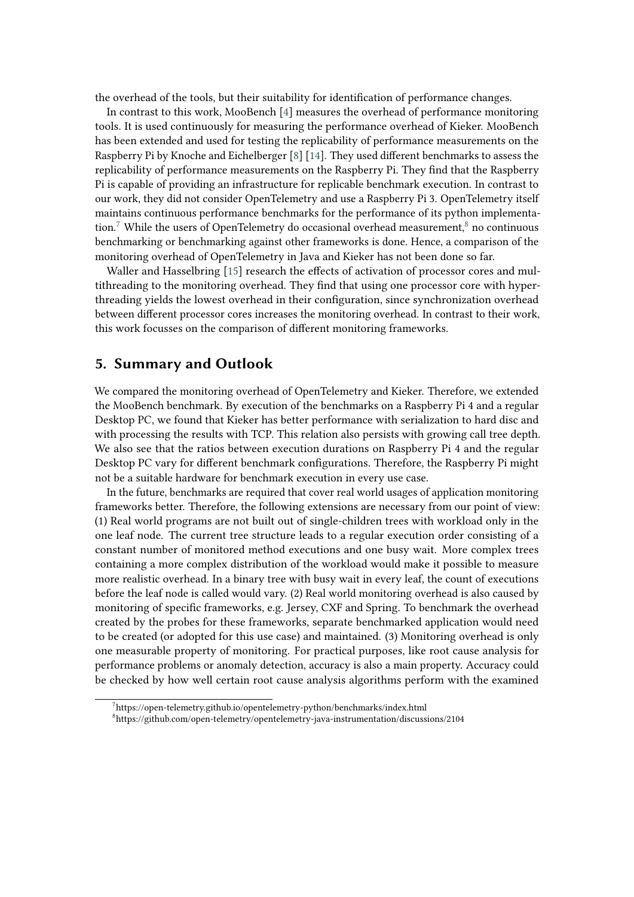the overhead of the tools, but their suitability for identification of performance changes.

In contrast to this work, MooBench [\[4\]](#page-5-0) measures the overhead of performance monitoring tools. It is used continuously for measuring the performance overhead of Kieker. MooBench has been extended and used for testing the replicability of performance measurements on the Raspberry Pi by Knoche and Eichelberger [\[8\]](#page-5-2) [\[14\]](#page-5-8). They used different benchmarks to assess the replicability of performance measurements on the Raspberry Pi. They find that the Raspberry Pi is capable of providing an infrastructure for replicable benchmark execution. In contrast to our work, they did not consider OpenTelemetry and use a Raspberry Pi 3. OpenTelemetry itself maintains continuous performance benchmarks for the performance of its python implementa-tion.<sup>[7](#page-4-1)</sup> While the users of OpenTelemetry do occasional overhead measurement, ${}^{8}$  ${}^{8}$  ${}^{8}$  no continuous benchmarking or benchmarking against other frameworks is done. Hence, a comparison of the monitoring overhead of OpenTelemetry in Java and Kieker has not been done so far.

Waller and Hasselbring [\[15\]](#page-5-9) research the effects of activation of processor cores and multithreading to the monitoring overhead. They find that using one processor core with hyperthreading yields the lowest overhead in their configuration, since synchronization overhead between different processor cores increases the monitoring overhead. In contrast to their work, this work focusses on the comparison of different monitoring frameworks.

### <span id="page-4-0"></span>**5. Summary and Outlook**

We compared the monitoring overhead of OpenTelemetry and Kieker. Therefore, we extended the MooBench benchmark. By execution of the benchmarks on a Raspberry Pi 4 and a regular Desktop PC, we found that Kieker has better performance with serialization to hard disc and with processing the results with TCP. This relation also persists with growing call tree depth. We also see that the ratios between execution durations on Raspberry Pi 4 and the regular Desktop PC vary for different benchmark configurations. Therefore, the Raspberry Pi might not be a suitable hardware for benchmark execution in every use case.

In the future, benchmarks are required that cover real world usages of application monitoring frameworks better. Therefore, the following extensions are necessary from our point of view: (1) Real world programs are not built out of single-children trees with workload only in the one leaf node. The current tree structure leads to a regular execution order consisting of a constant number of monitored method executions and one busy wait. More complex trees containing a more complex distribution of the workload would make it possible to measure more realistic overhead. In a binary tree with busy wait in every leaf, the count of executions before the leaf node is called would vary. (2) Real world monitoring overhead is also caused by monitoring of specific frameworks, e.g. Jersey, CXF and Spring. To benchmark the overhead created by the probes for these frameworks, separate benchmarked application would need to be created (or adopted for this use case) and maintained. (3) Monitoring overhead is only one measurable property of monitoring. For practical purposes, like root cause analysis for performance problems or anomaly detection, accuracy is also a main property. Accuracy could be checked by how well certain root cause analysis algorithms perform with the examined

<span id="page-4-1"></span><sup>&</sup>lt;sup>7</sup>https://open-telemetry.github.io/opentelemetry-python/benchmarks/index.html

<span id="page-4-2"></span><sup>8</sup> https://github.com/open-telemetry/opentelemetry-java-instrumentation/discussions/2104